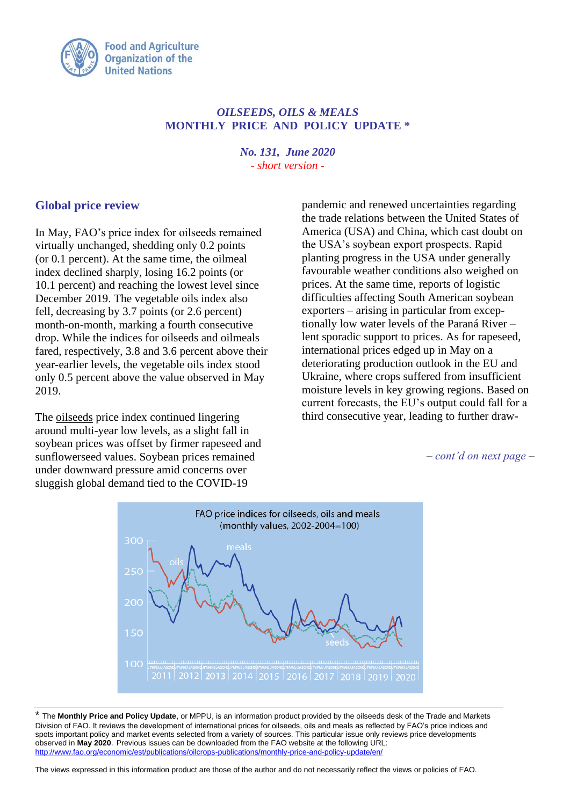

## *OILSEEDS, OILS & MEALS* **MONTHLY PRICE AND POLICY UPDATE \***

*No. 131, June 2020 - short version -*

## **Global price review**

In May, FAO's price index for oilseeds remained virtually unchanged, shedding only 0.2 points (or 0.1 percent). At the same time, the oilmeal index declined sharply, losing 16.2 points (or 10.1 percent) and reaching the lowest level since December 2019. The vegetable oils index also fell, decreasing by 3.7 points (or 2.6 percent) month-on-month, marking a fourth consecutive drop. While the indices for oilseeds and oilmeals fared, respectively, 3.8 and 3.6 percent above their year-earlier levels, the vegetable oils index stood only 0.5 percent above the value observed in May 2019.

The oilseeds price index continued lingering around multi-year low levels, as a slight fall in soybean prices was offset by firmer rapeseed and sunflowerseed values. Soybean prices remained under downward pressure amid concerns over sluggish global demand tied to the COVID-19

pandemic and renewed uncertainties regarding the trade relations between the United States of America (USA) and China, which cast doubt on the USA's soybean export prospects. Rapid planting progress in the USA under generally favourable weather conditions also weighed on prices. At the same time, reports of logistic difficulties affecting South American soybean exporters – arising in particular from exceptionally low water levels of the Paraná River – lent sporadic support to prices. As for rapeseed, international prices edged up in May on a deteriorating production outlook in the EU and Ukraine, where crops suffered from insufficient moisture levels in key growing regions. Based on current forecasts, the EU's output could fall for a third consecutive year, leading to further draw-

*– cont'd on next page –*



\* The **Monthly Price and Policy Update**, or MPPU, is an information product provided by the oilseeds desk of the Trade and Markets Division of FAO. It reviews the development of international prices for oilseeds, oils and meals as reflected by FAO's price indices and spots important policy and market events selected from a variety of sources. This particular issue only reviews price developments observed in **May 2020**. Previous issues can be downloaded from the FAO website at the following URL: <http://www.fao.org/economic/est/publications/oilcrops-publications/monthly-price-and-policy-update/en/>

The views expressed in this information product are those of the author and do not necessarily reflect the views or policies of FAO.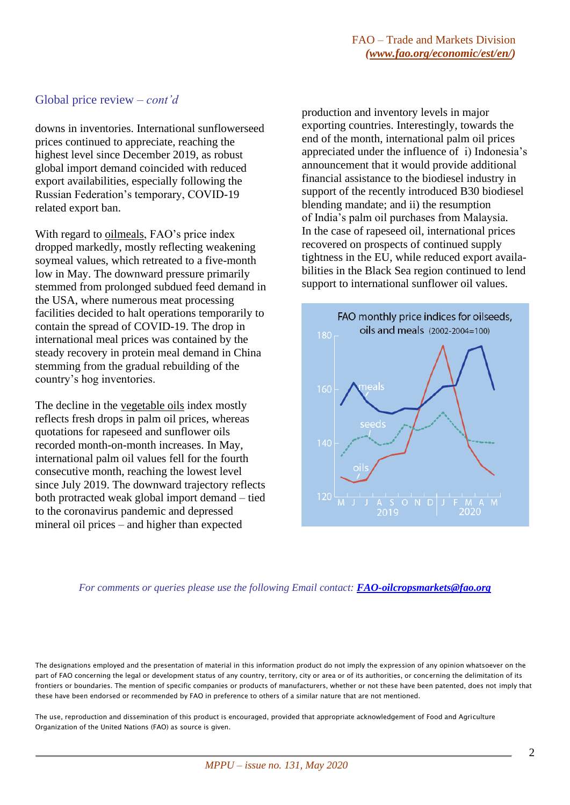## Global price review *– cont'd*

downs in inventories. International sunflowerseed prices continued to appreciate, reaching the highest level since December 2019, as robust global import demand coincided with reduced export availabilities, especially following the Russian Federation's temporary, COVID-19 related export ban.

With regard to oilmeals, FAO's price index dropped markedly, mostly reflecting weakening soymeal values, which retreated to a five-month low in May. The downward pressure primarily stemmed from prolonged subdued feed demand in the USA, where numerous meat processing facilities decided to halt operations temporarily to contain the spread of COVID-19. The drop in international meal prices was contained by the steady recovery in protein meal demand in China stemming from the gradual rebuilding of the country's hog inventories.

The decline in the vegetable oils index mostly reflects fresh drops in palm oil prices, whereas quotations for rapeseed and sunflower oils recorded month-on-month increases. In May, international palm oil values fell for the fourth consecutive month, reaching the lowest level since July 2019. The downward trajectory reflects both protracted weak global import demand – tied to the coronavirus pandemic and depressed mineral oil prices – and higher than expected

production and inventory levels in major exporting countries. Interestingly, towards the end of the month, international palm oil prices appreciated under the influence of i) Indonesia's announcement that it would provide additional financial assistance to the biodiesel industry in support of the recently introduced B30 biodiesel blending mandate; and ii) the resumption of India's palm oil purchases from Malaysia. In the case of rapeseed oil, international prices recovered on prospects of continued supply tightness in the EU, while reduced export availabilities in the Black Sea region continued to lend support to international sunflower oil values.



*For comments or queries please use the following Email contact: [FAO-oilcropsmarkets@fao.org](mailto:FAO-oilcropsmarkets@fao.org)*

The designations employed and the presentation of material in this information product do not imply the expression of any opinion whatsoever on the part of FAO concerning the legal or development status of any country, territory, city or area or of its authorities, or concerning the delimitation of its frontiers or boundaries. The mention of specific companies or products of manufacturers, whether or not these have been patented, does not imply that these have been endorsed or recommended by FAO in preference to others of a similar nature that are not mentioned.

The use, reproduction and dissemination of this product is encouraged, provided that appropriate acknowledgement of Food and Agriculture Organization of the United Nations (FAO) as source is given.